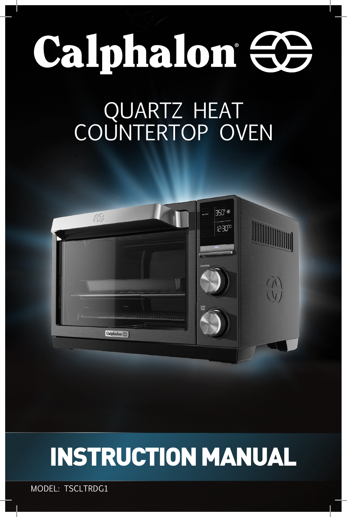# Calphalon <del>CO</del>

## QUARTZ HEAT COUNTERTOP OVEN



# INSTRUCTION MANUAL

MODEL: TSCLTRDG1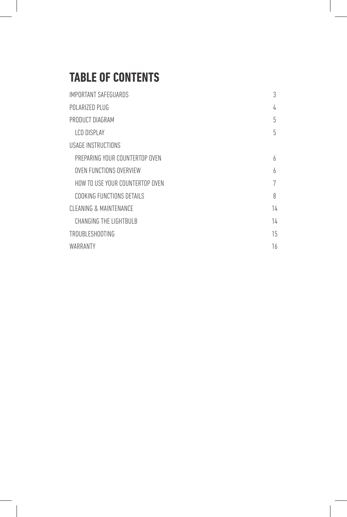## **TABLE OF CONTENTS**

| IMPORTANT SAFEGUARDS            | 3  |
|---------------------------------|----|
| POLARIZED PLUG                  | 4  |
| PRODUCT DIAGRAM                 | 5  |
| I CD DISPI AY                   | 5  |
| USAGE INSTRUCTIONS              |    |
| PREPARING YOUR COUNTERTOP OVEN  | 6  |
| OVEN FUNCTIONS OVERVIEW         | 6  |
| HOW TO USE YOUR COUNTERTOP OVEN | 7  |
| COOKING FUNCTIONS DETAILS       | 8  |
| CLEANING & MAINTENANCE          | 14 |
| CHANGING THE LIGHTBULB          | 14 |
| <b>TROUBLESHOOTING</b>          | 15 |
| WARRANTY                        | 16 |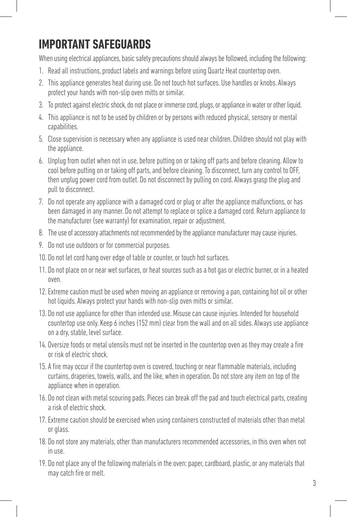## **IMPORTANT SAFEGUARDS**

When using electrical appliances, basic safety precautions should always be followed, including the following:

- 1. Read all instructions, product labels and warnings before using Quartz Heat countertop oven.
- 2. This appliance generates heat during use. Do not touch hot surfaces. Use handles or knobs. Always protect your hands with non-slip oven mitts or similar.
- 3. To protect against electric shock, do not place or immerse cord, plugs, or appliance in water or other liquid.
- 4. This appliance is not to be used by children or by persons with reduced physical, sensory or mental capabilities.
- 5. Close supervision is necessary when any appliance is used near children. Children should not play with the appliance.
- 6. Unplug from outlet when not in use, before putting on or taking off parts and before cleaning. Allow to cool before putting on or taking off parts, and before cleaning. To disconnect, turn any control to OFF, then unplug power cord from outlet. Do not disconnect by pulling on cord. Always grasp the plug and pull to disconnect.
- 7. Do not operate any appliance with a damaged cord or plug or after the appliance malfunctions, or has been damaged in any manner. Do not attempt to replace or splice a damaged cord. Return appliance to the manufacturer (see warranty) for examination, repair or adjustment.
- 8. The use of accessory attachments not recommended by the appliance manufacturer may cause injuries.
- 9. Do not use outdoors or for commercial purposes.
- 10. Do not let cord hang over edge of table or counter, or touch hot surfaces.
- 11. Do not place on or near wet surfaces, or heat sources such as a hot gas or electric burner, or in a heated oven.
- 12. Extreme caution must be used when moving an appliance or removing a pan, containing hot oil or other hot liquids. Always protect your hands with non-slip oven mitts or similar.
- 13. Do not use appliance for other than intended use. Misuse can cause injuries. Intended for household countertop use only. Keep 6 inches (152 mm) clear from the wall and on all sides. Always use appliance on a dry, stable, level surface.
- 14. Oversize foods or metal utensils must not be inserted in the countertop oven as they may create a fire or risk of electric shock.
- 15. A fire may occur if the countertop oven is covered, touching or near flammable materials, including curtains, draperies, towels, walls, and the like, when in operation. Do not store any item on top of the appliance when in operation.
- 16. Do not clean with metal scouring pads. Pieces can break off the pad and touch electrical parts, creating a risk of electric shock.
- 17. Extreme caution should be exercised when using containers constructed of materials other than metal or glass.
- 18. Do not store any materials, other than manufacturers recommended accessories, in this oven when not in use.
- 19. Do not place any of the following materials in the oven: paper, cardboard, plastic, or any materials that may catch fire or melt.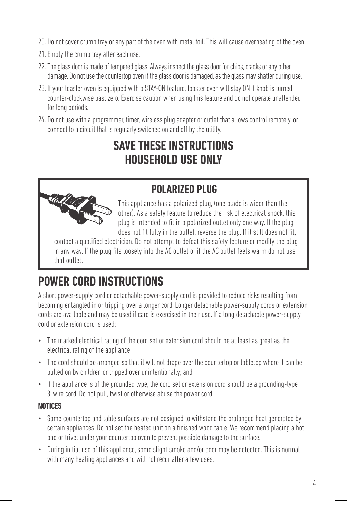- 20. Do not cover crumb tray or any part of the oven with metal foil. This will cause overheating of the oven.
- 21. Empty the crumb tray after each use.
- 22. The glass door is made of tempered glass. Always inspect the glass door for chips, cracks or any other damage. Do not use the countertop oven if the glass door is damaged, as the glass may shatter during use.
- 23. If your toaster oven is equipped with a STAY-ON feature, toaster oven will stay ON if knob is turned counter-clockwise past zero. Exercise caution when using this feature and do not operate unattended for long periods.
- 24. Do not use with a programmer, timer, wireless plug adapter or outlet that allows control remotely, or connect to a circuit that is regularly switched on and off by the utility.

## **SAVE THESE INSTRUCTIONS HOUSEHOLD USE ONLY**

### **POLARIZED PLUG**



This appliance has a polarized plug, (one blade is wider than the other). As a safety feature to reduce the risk of electrical shock, this plug is intended to fit in a polarized outlet only one way. If the plug does not fit fully in the outlet, reverse the plug. If it still does not fit,

contact a qualified electrician. Do not attempt to defeat this safety feature or modify the plug in any way. If the plug fits loosely into the AC outlet or if the AC outlet feels warm do not use that outlet.

## **POWER CORD INSTRUCTIONS**

A short power-supply cord or detachable power-supply cord is provided to reduce risks resulting from becoming entangled in or tripping over a longer cord. Longer detachable power-supply cords or extension cords are available and may be used if care is exercised in their use. If a long detachable power-supply cord or extension cord is used:

- The marked electrical rating of the cord set or extension cord should be at least as great as the electrical rating of the appliance;
- The cord should be arranged so that it will not drape over the countertop or tabletop where it can be pulled on by children or tripped over unintentionally; and
- If the appliance is of the grounded type, the cord set or extension cord should be a grounding-type 3-wire cord. Do not pull, twist or otherwise abuse the power cord.

#### **NOTICES**

- Some countertop and table surfaces are not designed to withstand the prolonged heat generated by certain appliances. Do not set the heated unit on a finished wood table. We recommend placing a hot pad or trivet under your countertop oven to prevent possible damage to the surface.
- During initial use of this appliance, some slight smoke and/or odor may be detected. This is normal with many heating appliances and will not recur after a few uses.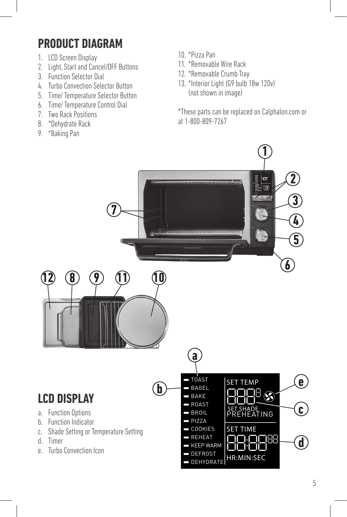## **PRODUCT DIAGRAM**

- 1. LCD Screen Display
- 2. Light, Start and Cancel/OFF Buttons
- 3. Function Selector Dial
- 4. Turbo Convection Selector Button
- 5. Time/ Temperature Selector Button
- 6. Time/ Temperature Control Dial
- 7. Two Rack Positions
- 8. \*Dehydrate Rack
- 9. \*Baking Pan
- 10. \*Pizza Pan
- 11. \*Removable Wire Rack
- 12. \*Removable Crumb Tray
- 13. \*Interior Light (G9 bulb 18w 120v) (not shown in image)

\*These parts can be replaced on Calphalon.com or at 1-800-809-7267

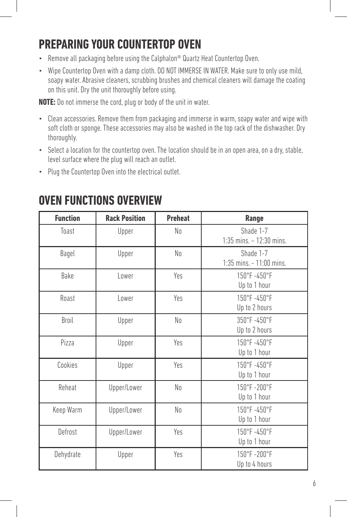## **PREPARING YOUR COUNTERTOP OVEN**

- Remove all packaging before using the Calphalon® Quartz Heat Countertop Oven.
- Wipe Countertop Oven with a damp cloth. DO NOT IMMERSE IN WATER. Make sure to only use mild, soapy water. Abrasive cleaners, scrubbing brushes and chemical cleaners will damage the coating on this unit. Dry the unit thoroughly before using.

**NOTE:** Do not immerse the cord, plug or body of the unit in water.

- Clean accessories. Remove them from packaging and immerse in warm, soapy water and wipe with soft cloth or sponge. These accessories may also be washed in the top rack of the dishwasher. Dry thoroughly.
- Select a location for the countertop oven. The location should be in an open area, on a dry, stable, level surface where the plug will reach an outlet.
- Plug the Countertop Oven into the electrical outlet.

| <b>Function</b> | <b>Rack Position</b> | <b>Preheat</b> | Range                                    |
|-----------------|----------------------|----------------|------------------------------------------|
| Toast           | Upper                | No             | Shade 1-7<br>$1:35$ mins. $-12:30$ mins. |
| Bagel           | Upper                | No             | Shade 1-7<br>1:35 mins. - 11:00 mins.    |
| Bake            | Lower                | Yes            | 150°F-450°F<br>Up to 1 hour              |
| Roast           | Lower                | Yes            | 150°F-450°F<br>Up to 2 hours             |
| Broil           | Upper                | No             | 350°F-450°F<br>Up to 2 hours             |
| Pizza           | Upper                | Yes            | 150°F-450°F<br>Up to 1 hour              |
| Cookies         | Upper                | Yes            | 150°F-450°F<br>Up to 1 hour              |
| Reheat          | Upper/Lower          | No             | 150°F-200°F<br>Up to 1 hour              |
| Keep Warm       | Upper/Lower          | No             | 150°F-450°F<br>Up to 1 hour              |
| Defrost         | Upper/Lower          | Yes            | 150°F-450°F<br>Up to 1 hour              |
| Dehydrate       | Upper                | Yes            | 150°F-200°F<br>Up to 4 hours             |

## **OVEN FUNCTIONS OVERVIEW**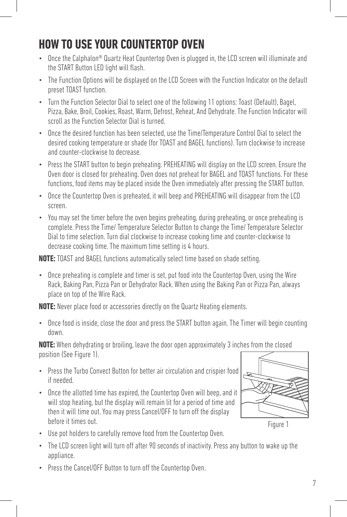## **HOW TO USE YOUR COUNTERTOP OVEN**

- Once the Calphalon<sup>®</sup> Quartz Heat Countertop Oven is plugged in, the LCD screen will illuminate and the START Button LED light will flash.
- The Function Options will be displayed on the LCD Screen with the Function Indicator on the default preset TOAST function.
- Turn the Function Selector Dial to select one of the following 11 options: Toast (Default), Bagel, Pizza, Bake, Broil, Cookies, Roast, Warm, Defrost, Reheat, And Dehydrate. The Function Indicator will scroll as the Function Selector Dial is turned.
- Once the desired function has been selected, use the Time/Temperature Control Dial to select the desired cooking temperature or shade (for TOAST and BAGEL functions). Turn clockwise to increase and counter-clockwise to decrease.
- Press the START button to begin preheating. PREHEATING will display on the LCD screen. Ensure the Oven door is closed for preheating. Oven does not preheat for BAGEL and TOAST functions. For these functions, food items may be placed inside the Oven immediately after pressing the START button.
- Once the Countertop Oven is preheated, it will beep and PREHEATING will disappear from the LCD screen.
- You may set the timer before the oven begins preheating, during preheating, or once preheating is complete. Press the Time/ Temperature Selector Button to change the Time/ Temperature Selector Dial to time selection. Turn dial clockwise to increase cooking time and counter-clockwise to decrease cooking time. The maximum time setting is 4 hours.

**NOTE:** TOAST and BAGEL functions automatically select time based on shade setting.

• Once preheating is complete and timer is set, put food into the Countertop Oven, using the Wire Rack, Baking Pan, Pizza Pan or Dehydrator Rack. When using the Baking Pan or Pizza Pan, always place on top of the Wire Rack.

**NOTE:** Never place food or accessories directly on the Quartz Heating elements.

• Once food is inside, close the door and press the START button again. The Timer will begin counting down.

**NOTE:** When dehydrating or broiling, leave the door open approximately 3 inches from the closed position (See Figure 1).

- Press the Turbo Convect Button for better air circulation and crispier food if needed.
- Once the allotted time has expired, the Countertop Oven will beep, and it will stop heating, but the display will remain lit for a period of time and then it will time out. You may press Cancel/OFF to turn off the display before it times out.



Figure 1

- Use pot holders to carefully remove food from the Countertop Oven.
- The LCD screen light will turn off after 90 seconds of inactivity. Press any button to wake up the appliance.
- Press the Cancel/OFF Button to turn off the Countertop Oven.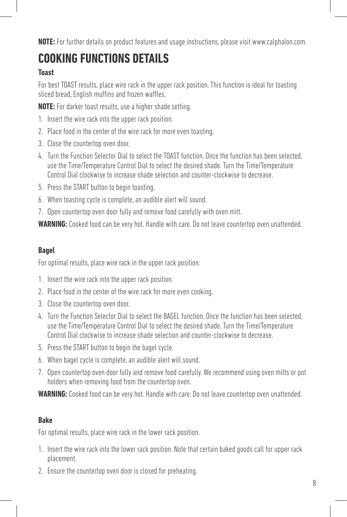**NOTE:** For further details on product features and usage instructions, please visit www.calphalon.com.

## **COOKING FUNCTIONS DETAILS**

#### **Toast**

For best TOAST results, place wire rack in the upper rack position. This function is ideal for toasting sliced bread, English muffins and frozen waffles.

**NOTE:** For darker toast results, use a higher shade setting.

- 1. Insert the wire rack into the upper rack position.
- 2. Place food in the center of the wire rack for more even toasting.
- 3. Close the countertop oven door.
- 4. Turn the Function Selector Dial to select the TOAST function. Once the function has been selected, use the Time/Temperature Control Dial to select the desired shade. Turn the Time/Temperature Control Dial clockwise to increase shade selection and counter-clockwise to decrease.
- 5. Press the START button to begin toasting.
- 6. When toasting cycle is complete, an audible alert will sound.
- 7. Open countertop oven door fully and remove food carefully with oven mitt.

**WARNING:** Cooked food can be very hot. Handle with care. Do not leave countertop oven unattended.

#### **Bagel**

For optimal results, place wire rack in the upper rack position.

- 1. Insert the wire rack into the upper rack position.
- 2. Place food in the center of the wire rack for more even cooking.
- 3. Close the countertop oven door.
- 4. Turn the Function Selector Dial to select the BAGEL function. Once the function has been selected, use the Time/Temperature Control Dial to select the desired shade. Turn the Time/Temperature Control Dial clockwise to increase shade selection and counter-clockwise to decrease.
- 5. Press the START button to begin the bagel cycle.
- 6. When bagel cycle is complete, an audible alert will sound.
- 7. Open countertop oven door fully and remove food carefully. We recommend using oven mitts or pot holders when removing food from the countertop oven.

**WARNING:** Cooked food can be very hot. Handle with care. Do not leave countertop oven unattended.

#### **Bake**

For optimal results, place wire rack in the lower rack position.

- 1. Insert the wire rack into the lower rack position. Note that certain baked goods call for upper rack placement.
- 2. Ensure the countertop oven door is closed for preheating.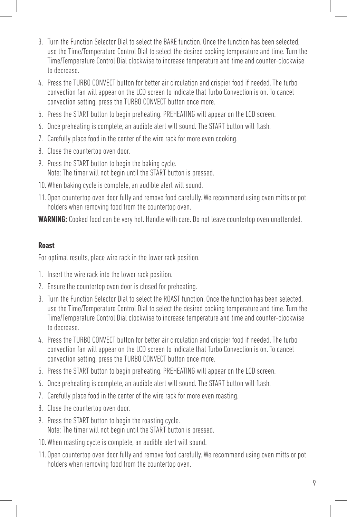- 3. Turn the Function Selector Dial to select the BAKE function. Once the function has been selected, use the Time/Temperature Control Dial to select the desired cooking temperature and time. Turn the Time/Temperature Control Dial clockwise to increase temperature and time and counter-clockwise to decrease.
- 4. Press the TURBO CONVECT button for better air circulation and crispier food if needed. The turbo convection fan will appear on the LCD screen to indicate that Turbo Convection is on. To cancel convection setting, press the TURBO CONVECT button once more.
- 5. Press the START button to begin preheating. PREHEATING will appear on the LCD screen.
- 6. Once preheating is complete, an audible alert will sound. The START button will flash.
- 7. Carefully place food in the center of the wire rack for more even cooking.
- 8. Close the countertop oven door.
- 9. Press the START button to begin the baking cycle. Note: The timer will not begin until the START button is pressed.
- 10.When baking cycle is complete, an audible alert will sound.
- 11. Open countertop oven door fully and remove food carefully. We recommend using oven mitts or pot holders when removing food from the countertop oven.

#### **Roast**

For optimal results, place wire rack in the lower rack position.

- 1. Insert the wire rack into the lower rack position.
- 2. Ensure the countertop oven door is closed for preheating.
- 3. Turn the Function Selector Dial to select the ROAST function. Once the function has been selected, use the Time/Temperature Control Dial to select the desired cooking temperature and time. Turn the Time/Temperature Control Dial clockwise to increase temperature and time and counter-clockwise to decrease.
- 4. Press the TURBO CONVECT button for better air circulation and crispier food if needed. The turbo convection fan will appear on the LCD screen to indicate that Turbo Convection is on. To cancel convection setting, press the TURBO CONVECT button once more.
- 5. Press the START button to begin preheating. PREHEATING will appear on the LCD screen.
- 6. Once preheating is complete, an audible alert will sound. The START button will flash.
- 7. Carefully place food in the center of the wire rack for more even roasting.
- 8. Close the countertop oven door.
- 9. Press the START button to begin the roasting cycle. Note: The timer will not begin until the START button is pressed.
- 10.When roasting cycle is complete, an audible alert will sound.
- 11. Open countertop oven door fully and remove food carefully. We recommend using oven mitts or pot holders when removing food from the countertop oven.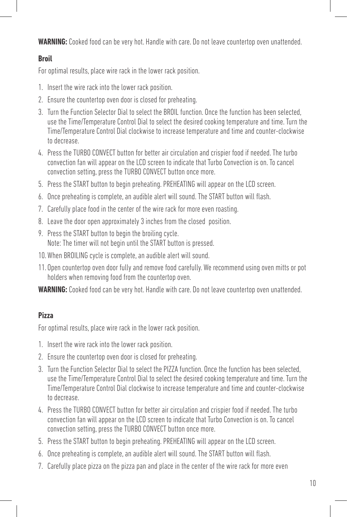#### **Broil**

For optimal results, place wire rack in the lower rack position.

- 1. Insert the wire rack into the lower rack position.
- 2. Ensure the countertop oven door is closed for preheating.
- 3. Turn the Function Selector Dial to select the BROIL function. Once the function has been selected, use the Time/Temperature Control Dial to select the desired cooking temperature and time. Turn the Time/Temperature Control Dial clockwise to increase temperature and time and counter-clockwise to decrease.
- 4. Press the TURBO CONVECT button for better air circulation and crispier food if needed. The turbo convection fan will appear on the LCD screen to indicate that Turbo Convection is on. To cancel convection setting, press the TURBO CONVECT button once more.
- 5. Press the START button to begin preheating. PREHEATING will appear on the LCD screen.
- 6. Once preheating is complete, an audible alert will sound. The START button will flash.
- 7. Carefully place food in the center of the wire rack for more even roasting.
- 8. Leave the door open approximately 3 inches from the closed position.
- 9. Press the START button to begin the broiling cycle. Note: The timer will not begin until the START button is pressed.
- 10.When BROILING cycle is complete, an audible alert will sound.
- 11. Open countertop oven door fully and remove food carefully. We recommend using oven mitts or pot holders when removing food from the countertop oven.

**WARNING:** Cooked food can be very hot. Handle with care. Do not leave countertop oven unattended.

#### **Pizza**

For optimal results, place wire rack in the lower rack position.

- 1. Insert the wire rack into the lower rack position.
- 2. Ensure the countertop oven door is closed for preheating.
- 3. Turn the Function Selector Dial to select the PIZZA function. Once the function has been selected, use the Time/Temperature Control Dial to select the desired cooking temperature and time. Turn the Time/Temperature Control Dial clockwise to increase temperature and time and counter-clockwise to decrease.
- 4. Press the TURBO CONVECT button for better air circulation and crispier food if needed. The turbo convection fan will appear on the LCD screen to indicate that Turbo Convection is on. To cancel convection setting, press the TURBO CONVECT button once more.
- 5. Press the START button to begin preheating. PREHEATING will appear on the LCD screen.
- 6. Once preheating is complete, an audible alert will sound. The START button will flash.
- 7. Carefully place pizza on the pizza pan and place in the center of the wire rack for more even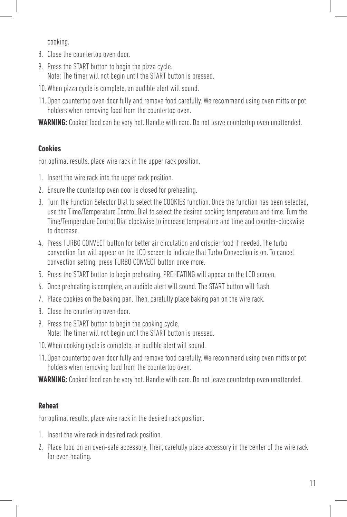cooking.

- 8. Close the countertop oven door.
- 9. Press the START button to begin the pizza cycle. Note: The timer will not begin until the START button is pressed.
- 10.When pizza cycle is complete, an audible alert will sound.
- 11. Open countertop oven door fully and remove food carefully. We recommend using oven mitts or pot holders when removing food from the countertop oven.

**WARNING:** Cooked food can be very hot. Handle with care. Do not leave countertop oven unattended.

#### **Cookies**

For optimal results, place wire rack in the upper rack position.

- 1. Insert the wire rack into the upper rack position.
- 2. Ensure the countertop oven door is closed for preheating.
- 3. Turn the Function Selector Dial to select the COOKIES function. Once the function has been selected, use the Time/Temperature Control Dial to select the desired cooking temperature and time. Turn the Time/Temperature Control Dial clockwise to increase temperature and time and counter-clockwise to decrease.
- 4. Press TURBO CONVECT button for better air circulation and crispier food if needed. The turbo convection fan will appear on the LCD screen to indicate that Turbo Convection is on. To cancel convection setting, press TURBO CONVECT button once more.
- 5. Press the START button to begin preheating. PREHEATING will appear on the LCD screen.
- 6. Once preheating is complete, an audible alert will sound. The START button will flash.
- 7. Place cookies on the baking pan. Then, carefully place baking pan on the wire rack.
- 8. Close the countertop oven door.
- 9. Press the START button to begin the cooking cycle. Note: The timer will not begin until the START button is pressed.
- 10.When cooking cycle is complete, an audible alert will sound.
- 11. Open countertop oven door fully and remove food carefully. We recommend using oven mitts or pot holders when removing food from the countertop oven.

**WARNING:** Cooked food can be very hot. Handle with care. Do not leave countertop oven unattended.

#### **Reheat**

For optimal results, place wire rack in the desired rack position.

- 1. Insert the wire rack in desired rack position.
- 2. Place food on an oven-safe accessory. Then, carefully place accessory in the center of the wire rack for even heating.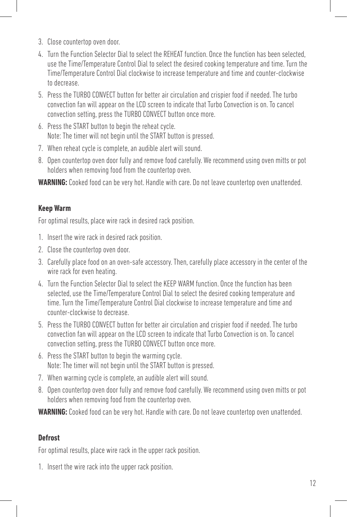- 3. Close countertop oven door.
- 4. Turn the Function Selector Dial to select the REHEAT function. Once the function has been selected, use the Time/Temperature Control Dial to select the desired cooking temperature and time. Turn the Time/Temperature Control Dial clockwise to increase temperature and time and counter-clockwise to decrease.
- 5. Press the TURBO CONVECT button for better air circulation and crispier food if needed. The turbo convection fan will appear on the LCD screen to indicate that Turbo Convection is on. To cancel convection setting, press the TURBO CONVECT button once more.
- 6. Press the START button to begin the reheat cycle. Note: The timer will not begin until the START button is pressed.
- 7. When reheat cycle is complete, an audible alert will sound.
- 8. Open countertop oven door fully and remove food carefully. We recommend using oven mitts or pot holders when removing food from the countertop oven.

#### **Keep Warm**

For optimal results, place wire rack in desired rack position.

- 1. Insert the wire rack in desired rack position.
- 2. Close the countertop oven door.
- 3. Carefully place food on an oven-safe accessory. Then, carefully place accessory in the center of the wire rack for even heating.
- 4. Turn the Function Selector Dial to select the KEEP WARM function. Once the function has been selected, use the Time/Temperature Control Dial to select the desired cooking temperature and time. Turn the Time/Temperature Control Dial clockwise to increase temperature and time and counter-clockwise to decrease.
- 5. Press the TURBO CONVECT button for better air circulation and crispier food if needed. The turbo convection fan will appear on the LCD screen to indicate that Turbo Convection is on. To cancel convection setting, press the TURBO CONVECT button once more.
- 6. Press the START button to begin the warming cycle. Note: The timer will not begin until the START button is pressed.
- 7. When warming cycle is complete, an audible alert will sound.
- 8. Open countertop oven door fully and remove food carefully. We recommend using oven mitts or pot holders when removing food from the countertop oven.

**WARNING:** Cooked food can be very hot. Handle with care. Do not leave countertop oven unattended.

#### **Defrost**

For optimal results, place wire rack in the upper rack position.

1. Insert the wire rack into the upper rack position.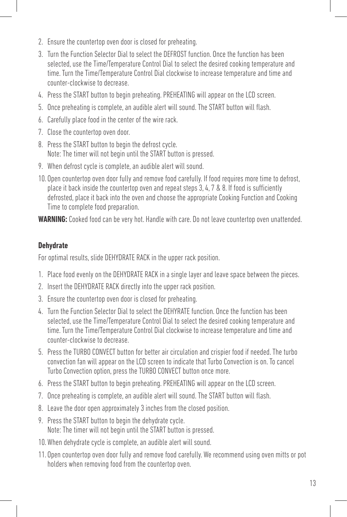- 2. Ensure the countertop oven door is closed for preheating.
- 3. Turn the Function Selector Dial to select the DEFROST function. Once the function has been selected, use the Time/Temperature Control Dial to select the desired cooking temperature and time. Turn the Time/Temperature Control Dial clockwise to increase temperature and time and counter-clockwise to decrease.
- 4. Press the START button to begin preheating. PREHEATING will appear on the LCD screen.
- 5. Once preheating is complete, an audible alert will sound. The START button will flash.
- 6. Carefully place food in the center of the wire rack.
- 7. Close the countertop oven door.
- 8. Press the START button to begin the defrost cycle. Note: The timer will not begin until the START button is pressed.
- 9. When defrost cycle is complete, an audible alert will sound.
- 10. Open countertop oven door fully and remove food carefully. If food requires more time to defrost, place it back inside the countertop oven and repeat steps 3, 4, 7 & 8. If food is sufficiently defrosted, place it back into the oven and choose the appropriate Cooking Function and Cooking Time to complete food preparation.

#### **Dehydrate**

For optimal results, slide DEHYDRATE RACK in the upper rack position.

- 1. Place food evenly on the DEHYDRATE RACK in a single layer and leave space between the pieces.
- 2. Insert the DEHYDRATE RACK directly into the upper rack position.
- 3. Ensure the countertop oven door is closed for preheating.
- 4. Turn the Function Selector Dial to select the DEHYRATE function. Once the function has been selected, use the Time/Temperature Control Dial to select the desired cooking temperature and time. Turn the Time/Temperature Control Dial clockwise to increase temperature and time and counter-clockwise to decrease.
- 5. Press the TURBO CONVECT button for better air circulation and crispier food if needed. The turbo convection fan will appear on the LCD screen to indicate that Turbo Convection is on. To cancel Turbo Convection option, press the TURBO CONVECT button once more.
- 6. Press the START button to begin preheating. PREHEATING will appear on the LCD screen.
- 7. Once preheating is complete, an audible alert will sound. The START button will flash.
- 8. Leave the door open approximately 3 inches from the closed position.
- 9. Press the START button to begin the dehydrate cycle. Note: The timer will not begin until the START button is pressed.
- 10.When dehydrate cycle is complete, an audible alert will sound.
- 11. Open countertop oven door fully and remove food carefully. We recommend using oven mitts or pot holders when removing food from the countertop oven.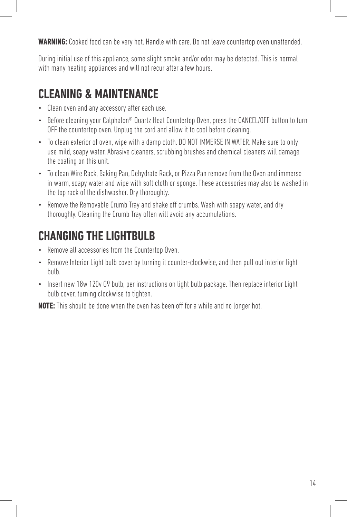During initial use of this appliance, some slight smoke and/or odor may be detected. This is normal with many heating appliances and will not recur after a few hours.

## **CLEANING & MAINTENANCE**

- Clean oven and any accessory after each use.
- Before cleaning your Calphalon® Quartz Heat Countertop Oven, press the CANCEL/OFF button to turn OFF the countertop oven. Unplug the cord and allow it to cool before cleaning.
- To clean exterior of oven, wipe with a damp cloth. DO NOT IMMERSE IN WATER. Make sure to only use mild, soapy water. Abrasive cleaners, scrubbing brushes and chemical cleaners will damage the coating on this unit.
- To clean Wire Rack, Baking Pan, Dehydrate Rack, or Pizza Pan remove from the Oven and immerse in warm, soapy water and wipe with soft cloth or sponge. These accessories may also be washed in the top rack of the dishwasher. Dry thoroughly.
- Remove the Removable Crumb Tray and shake off crumbs. Wash with soapy water, and dry thoroughly. Cleaning the Crumb Tray often will avoid any accumulations.

## **CHANGING THE LIGHTBULB**

- Remove all accessories from the Countertop Oven.
- Remove Interior Light bulb cover by turning it counter-clockwise, and then pull out interior light bulb.
- Insert new 18w 120v G9 bulb, per instructions on light bulb package. Then replace interior Light bulb cover, turning clockwise to tighten.

**NOTE:** This should be done when the oven has been off for a while and no longer hot.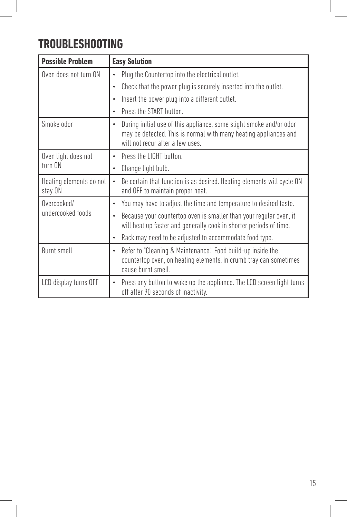## **TROUBLESHOOTING**

I

| <b>Possible Problem</b>            | <b>Easy Solution</b>                                                                                                                                                                     |  |  |
|------------------------------------|------------------------------------------------------------------------------------------------------------------------------------------------------------------------------------------|--|--|
| Oven does not turn ON              | Plug the Countertop into the electrical outlet.<br>$\bullet$                                                                                                                             |  |  |
|                                    | Check that the power plug is securely inserted into the outlet.<br>$\bullet$                                                                                                             |  |  |
|                                    | Insert the power plug into a different outlet.                                                                                                                                           |  |  |
|                                    | Press the START button.<br>$\bullet$                                                                                                                                                     |  |  |
| Smoke odor                         | During initial use of this appliance, some slight smoke and/or odor<br>$\bullet$<br>may be detected. This is normal with many heating appliances and<br>will not recur after a few uses. |  |  |
| Oven light does not<br>turn ON     | Press the LIGHT button.<br>٠                                                                                                                                                             |  |  |
|                                    | Change light bulb.<br>$\bullet$                                                                                                                                                          |  |  |
| Heating elements do not<br>stay ON | Be certain that function is as desired. Heating elements will cycle ON<br>and OFF to maintain proper heat.                                                                               |  |  |
| Overcooked/<br>undercooked foods   | You may have to adjust the time and temperature to desired taste.                                                                                                                        |  |  |
|                                    | Because your countertop oven is smaller than your regular oven, it<br>will heat up faster and generally cook in shorter periods of time.                                                 |  |  |
|                                    | Rack may need to be adjusted to accommodate food type.<br>$\bullet$                                                                                                                      |  |  |
| Burnt smell                        | Refer to "Cleaning & Maintenance." Food build-up inside the<br>$\bullet$<br>countertop oven, on heating elements, in crumb tray can sometimes<br>cause burnt smell.                      |  |  |
| LCD display turns OFF              | Press any button to wake up the appliance. The LCD screen light turns<br>$\bullet$<br>off after 90 seconds of inactivity.                                                                |  |  |